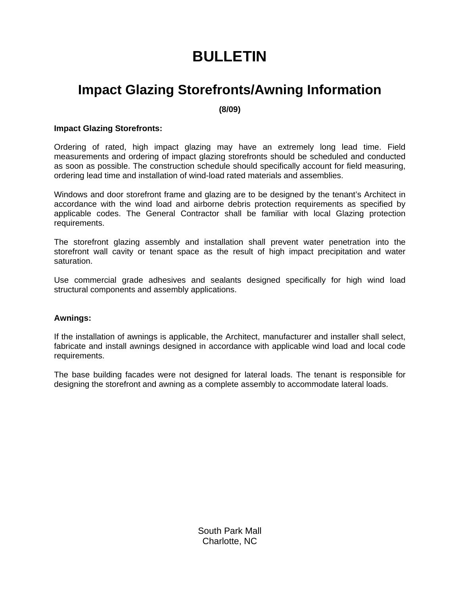# **BULLETIN**

### **Impact Glazing Storefronts/Awning Information**

**(8/09)** 

#### **Impact Glazing Storefronts:**

Ordering of rated, high impact glazing may have an extremely long lead time. Field measurements and ordering of impact glazing storefronts should be scheduled and conducted as soon as possible. The construction schedule should specifically account for field measuring, ordering lead time and installation of wind-load rated materials and assemblies.

Windows and door storefront frame and glazing are to be designed by the tenant's Architect in accordance with the wind load and airborne debris protection requirements as specified by applicable codes. The General Contractor shall be familiar with local Glazing protection requirements.

The storefront glazing assembly and installation shall prevent water penetration into the storefront wall cavity or tenant space as the result of high impact precipitation and water saturation.

Use commercial grade adhesives and sealants designed specifically for high wind load structural components and assembly applications.

#### **Awnings:**

If the installation of awnings is applicable, the Architect, manufacturer and installer shall select, fabricate and install awnings designed in accordance with applicable wind load and local code requirements.

The base building facades were not designed for lateral loads. The tenant is responsible for designing the storefront and awning as a complete assembly to accommodate lateral loads.

> South Park Mall Charlotte, NC